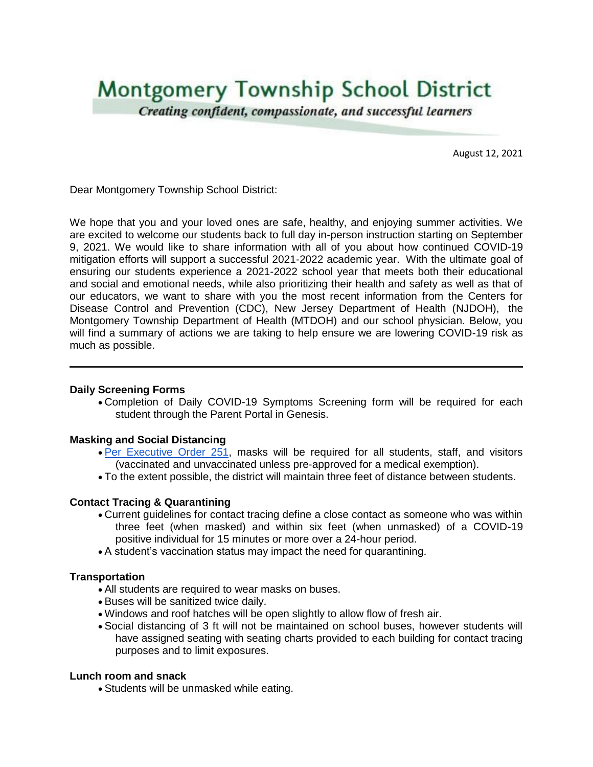# **Montgomery Township School District Creating confident, compassionate, and successful learners**

August 12, 2021

Dear Montgomery Township School District:

 We hope that you and your loved ones are safe, healthy, and enjoying summer activities. We are excited to welcome our students back to full day in-person instruction starting on September 9, 2021. We would like to share information with all of you about how continued COVID-19 mitigation efforts will support a successful 2021-2022 academic year. With the ultimate goal of ensuring our students experience a 2021-2022 school year that meets both their educational and social and emotional needs, while also prioritizing their health and safety as well as that of our educators, we want to share with you the most recent information from the Centers for Disease Control and Prevention (CDC), New Jersey Department of Health (NJDOH), the Montgomery Township Department of Health (MTDOH) and our school physician. Below, you will find a summary of actions we are taking to help ensure we are lowering COVID-19 risk as much as possible.

## **Daily Screening Forms**

 Completion of Daily COVID-19 Symptoms Screening form will be required for each student through the Parent Portal in Genesis.

# **Masking and Social Distancing**

- · [Per Executive Order 251,](https://nj.gov/infobank/eo/056murphy/pdf/EO-251.pdf) masks will be required for all students, staff, and visitors (vaccinated and unvaccinated unless pre-approved for a medical exemption).
- To the extent possible, the district will maintain three feet of distance between students.

## **Contact Tracing & Quarantining**

- Current guidelines for contact tracing define a close contact as someone who was within three feet (when masked) and within six feet (when unmasked) of a COVID-19 positive individual for 15 minutes or more over a 24-hour period.
- A student's vaccination status may impact the need for quarantining.

#### **Transportation**

- All students are required to wear masks on buses.
- Buses will be sanitized twice daily.
- Windows and roof hatches will be open slightly to allow flow of fresh air.
- Social distancing of 3 ft will not be maintained on school buses, however students will have assigned seating with seating charts provided to each building for contact tracing purposes and to limit exposures.

## **Lunch room and snack**

Students will be unmasked while eating.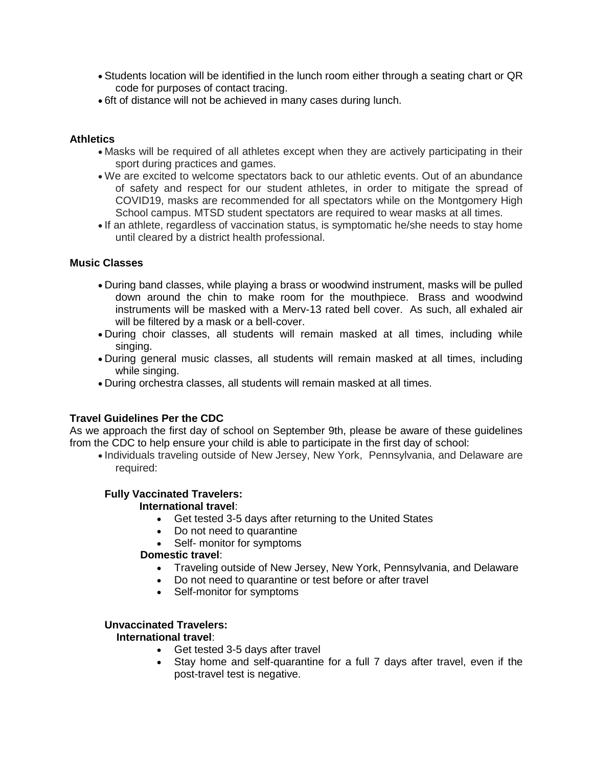- Students location will be identified in the lunch room either through a seating chart or QR code for purposes of contact tracing.
- 6ft of distance will not be achieved in many cases during lunch.

## **Athletics**

- Masks will be required of all athletes except when they are actively participating in their sport during practices and games.
- We are excited to welcome spectators back to our athletic events. Out of an abundance of safety and respect for our student athletes, in order to mitigate the spread of COVID19, masks are recommended for all spectators while on the Montgomery High School campus. MTSD student spectators are required to wear masks at all times.
- If an athlete, regardless of vaccination status, is symptomatic he/she needs to stay home until cleared by a district health professional.

## **Music Classes**

- During band classes, while playing a brass or woodwind instrument, masks will be pulled down around the chin to make room for the mouthpiece. Brass and woodwind instruments will be masked with a Merv-13 rated bell cover. As such, all exhaled air will be filtered by a mask or a bell-cover.
- During choir classes, all students will remain masked at all times, including while singing.
- During general music classes, all students will remain masked at all times, including while singing.
- During orchestra classes, all students will remain masked at all times.

# **Travel Guidelines Per the CDC**

 As we approach the first day of school on September 9th, please be aware of these guidelines from the CDC to help ensure your child is able to participate in the first day of school:

• Individuals traveling outside of New Jersey, New York, Pennsylvania, and Delaware are required:

## **Fully Vaccinated Travelers:**

## **International travel**:

- Get tested 3-5 days after returning to the United States
- Do not need to quarantine
- Self- monitor for symptoms

## **Domestic travel**:

- Traveling outside of New Jersey, New York, Pennsylvania, and Delaware
- Do not need to quarantine or test before or after travel
- Self-monitor for symptoms

## **Unvaccinated Travelers:**

## **International travel**:

- Get tested 3-5 days after travel
- Stay home and self-quarantine for a full 7 days after travel, even if the post-travel test is negative.